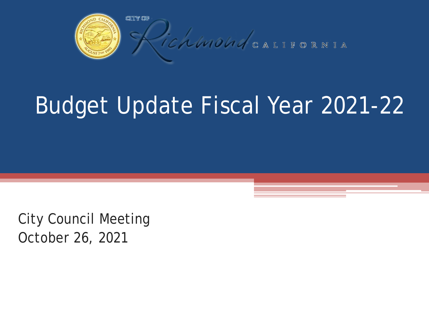

# Budget Update Fiscal Year 2021-22

City Council Meeting October 26, 2021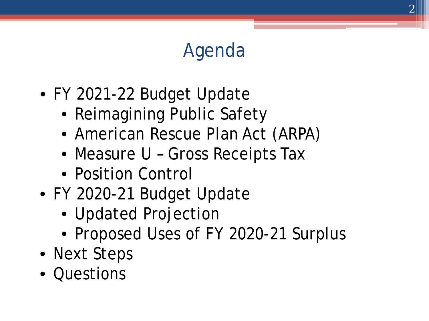#### *Agenda*

- FY 2021-22 Budget Update
	- Reimagining Public Safety
	- American Rescue Plan Act (ARPA)
	- Measure U Gross Receipts Tax
	- Position Control
- FY 2020-21 Budget Update
	- Updated Projection
	- Proposed Uses of FY 2020-21 Surplus
- Next Steps
- Questions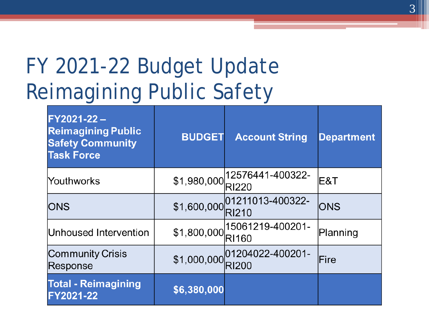#### FY 2021-22 Budget Update Reimagining Public Safety

| FY2021-22-<br><b>Reimagining Public</b><br><b>Safety Community</b><br><b>Task Force</b> | <b>BUDGET</b> | <b>Account String</b>                         | <b>Department</b> |
|-----------------------------------------------------------------------------------------|---------------|-----------------------------------------------|-------------------|
| Youthworks                                                                              |               | $$1,980,000$   12576441-400322-               | IE&T              |
| <b>IONS</b>                                                                             |               | $$1,600,000$ 01211013-400322-<br><b>RI210</b> | <b>IONS</b>       |
| Unhoused Intervention                                                                   |               | $$1,800,000$ 15061219-400201-<br><b>RI160</b> | Planning          |
| <b>Community Crisis</b><br>Response                                                     |               | $$1,000,000$ 01204022-400201-                 | lFire             |
| <b>Total - Reimagining</b><br>FY2021-22                                                 | \$6,380,000   |                                               |                   |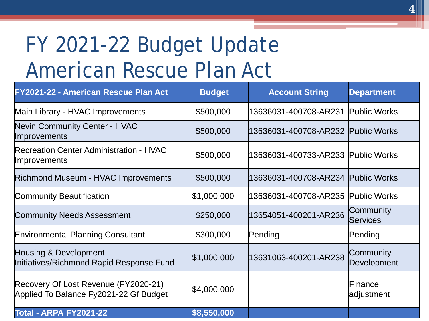### FY 2021-22 Budget Update American Rescue Plan Act

| FY2021-22 - American Rescue Plan Act                                           | <b>Budget</b> | <b>Account String</b>              | <b>Department</b>            |
|--------------------------------------------------------------------------------|---------------|------------------------------------|------------------------------|
| Main Library - HVAC Improvements                                               | \$500,000     | 13636031-400708-AR231 Public Works |                              |
| Nevin Community Center - HVAC<br><b>Improvements</b>                           | \$500,000     | 13636031-400708-AR232 Public Works |                              |
| <b>Recreation Center Administration - HVAC</b><br><b>Improvements</b>          | \$500,000     | 13636031-400733-AR233 Public Works |                              |
| <b>Richmond Museum - HVAC Improvements</b>                                     | \$500,000     | 13636031-400708-AR234 Public Works |                              |
| Community Beautification                                                       | \$1,000,000   | 13636031-400708-AR235 Public Works |                              |
| <b>Community Needs Assessment</b>                                              | \$250,000     | 13654051-400201-AR236              | Community<br><b>Services</b> |
| <b>Environmental Planning Consultant</b>                                       | \$300,000     | Pending                            | Pending                      |
| Housing & Development<br>Initiatives/Richmond Rapid Response Fund              | \$1,000,000   | 13631063-400201-AR238              | Community<br>Development     |
| Recovery Of Lost Revenue (FY2020-21)<br>Applied To Balance Fy2021-22 Gf Budget | \$4,000,000   |                                    | Finance<br>adjustment        |
| <b>Total - ARPA FY2021-22</b>                                                  | \$8,550,000   |                                    |                              |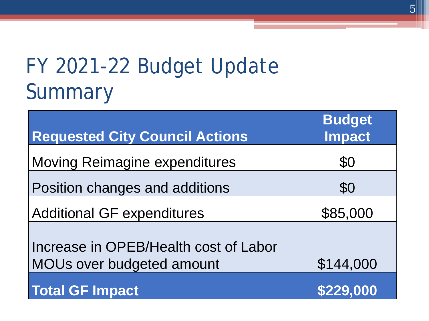#### FY 2021-22 Budget Update Summary

| <b>Requested City Council Actions</b>                              | <b>Budget</b><br><b>Impact</b> |
|--------------------------------------------------------------------|--------------------------------|
| Moving Reimagine expenditures                                      | \$0                            |
| Position changes and additions                                     | \$0                            |
| <b>Additional GF expenditures</b>                                  | \$85,000                       |
| Increase in OPEB/Health cost of Labor<br>MOUs over budgeted amount | \$144,000                      |
| <b>Total GF Impact</b>                                             | \$229,000                      |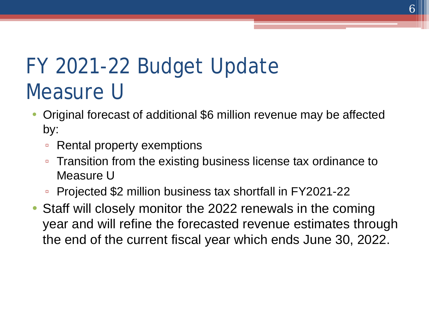#### FY 2021-22 Budget Update Measure U

- Original forecast of additional \$6 million revenue may be affected by:
	- Rental property exemptions
	- Transition from the existing business license tax ordinance to Measure U
	- Projected \$2 million business tax shortfall in FY2021-22
- Staff will closely monitor the 2022 renewals in the coming year and will refine the forecasted revenue estimates through the end of the current fiscal year which ends June 30, 2022.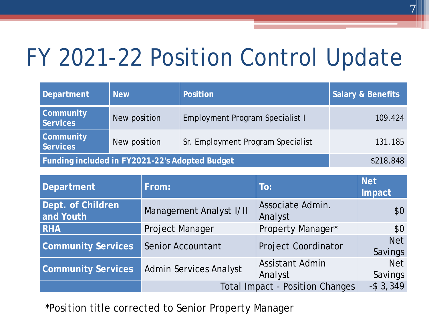## FY 2021-22 Position Control Update

| Department                                     | <b>New</b>   | Position                               | <b>Salary &amp; Benefits</b> |
|------------------------------------------------|--------------|----------------------------------------|------------------------------|
| <b>Community</b><br><b>Services</b>            | New position | <b>Employment Program Specialist I</b> | 109,424                      |
| <b>Community</b><br><b>Services</b>            | New position | Sr. Employment Program Specialist      | 131,185                      |
| Funding included in FY2021-22's Adopted Budget |              |                                        | \$218,848                    |

| <b>Department</b>              | From:                                  | To:                               | <b>Net</b><br>Impact  |
|--------------------------------|----------------------------------------|-----------------------------------|-----------------------|
| Dept. of Children<br>and Youth | Management Analyst I/II                | Associate Admin.<br>Analyst       | \$0 <sub>2</sub>      |
| <b>RHA</b>                     | Project Manager                        | Property Manager*                 | \$0                   |
| <b>Community Services</b>      | <b>Senior Accountant</b>               | <b>Project Coordinator</b>        | <b>Net</b><br>Savings |
| <b>Community Services</b>      | <b>Admin Services Analyst</b>          | <b>Assistant Admin</b><br>Analyst | <b>Net</b><br>Savings |
|                                | <b>Total Impact - Position Changes</b> |                                   | $-$ \$ 3,349          |

\*Position title corrected to Senior Property Manager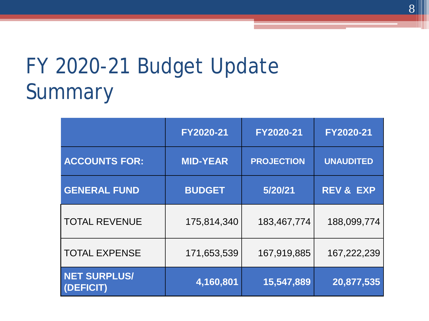#### FY 2020-21 Budget Update Summary

|                                  | FY2020-21       | FY2020-21         | FY2020-21            |
|----------------------------------|-----------------|-------------------|----------------------|
| <b>ACCOUNTS FOR:</b>             | <b>MID-YEAR</b> | <b>PROJECTION</b> | <b>UNAUDITED</b>     |
| <b>GENERAL FUND</b>              | <b>BUDGET</b>   | 5/20/21           | <b>REV &amp; EXP</b> |
| <b>TOTAL REVENUE</b>             | 175,814,340     | 183,467,774       | 188,099,774          |
| <b>TOTAL EXPENSE</b>             | 171,653,539     | 167,919,885       | 167,222,239          |
| <b>NET SURPLUS/</b><br>(DEFICIT) | 4,160,801       | 15,547,889        | 20,877,535           |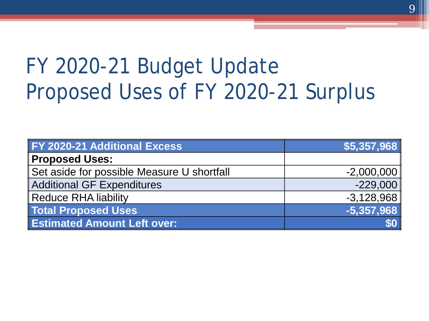### FY 2020-21 Budget Update Proposed Uses of FY 2020-21 Surplus

| FY 2020-21 Additional Excess               | \$5,357,968  |
|--------------------------------------------|--------------|
| <b>Proposed Uses:</b>                      |              |
| Set aside for possible Measure U shortfall | $-2,000,000$ |
| <b>Additional GF Expenditures</b>          | $-229,000$   |
| <b>Reduce RHA liability</b>                | $-3,128,968$ |
| <b>Total Proposed Uses</b>                 | $-5,357,968$ |
| <b>Estimated Amount Left over:</b>         |              |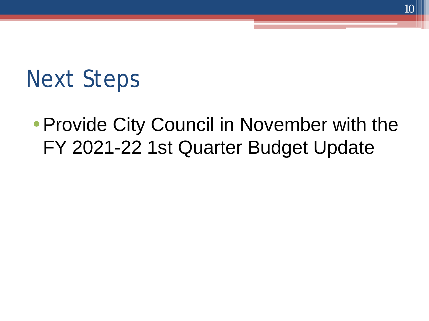## Next Steps

#### • Provide City Council in November with the FY 2021-22 1st Quarter Budget Update

10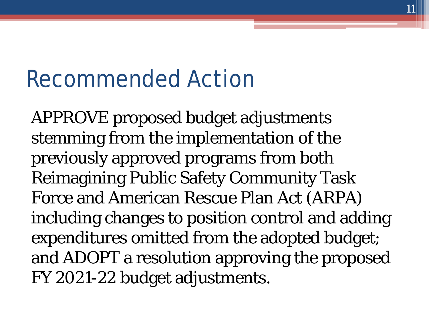## Recommended Action

APPROVE proposed budget adjustments stemming from the implementation of the previously approved programs from both Reimagining Public Safety Community Task Force and American Rescue Plan Act (ARPA) including changes to position control and adding expenditures omitted from the adopted budget; and ADOPT a resolution approving the proposed FY 2021-22 budget adjustments.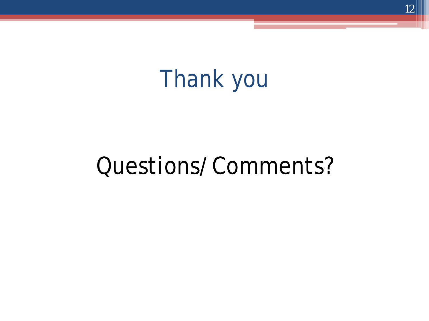## Thank you

### Questions/Comments?